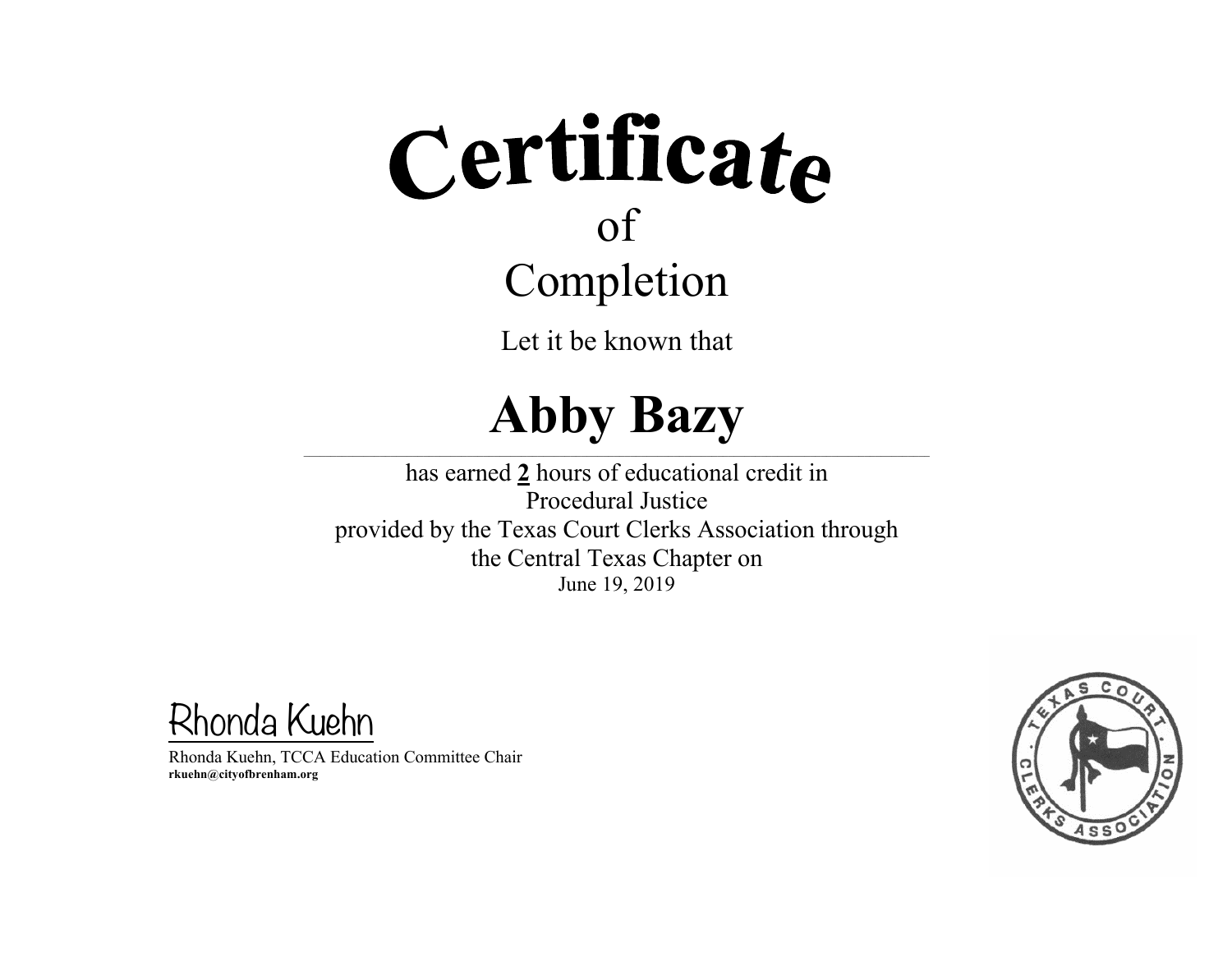Let it be known that

#### **Abby Bazy**

 $\mathcal{L} = \{ \mathcal{L} = \{ \mathcal{L} = \{ \mathcal{L} = \{ \mathcal{L} = \{ \mathcal{L} = \{ \mathcal{L} = \{ \mathcal{L} = \{ \mathcal{L} = \{ \mathcal{L} = \{ \mathcal{L} = \{ \mathcal{L} = \{ \mathcal{L} = \{ \mathcal{L} = \{ \mathcal{L} = \{ \mathcal{L} = \{ \mathcal{L} = \{ \mathcal{L} = \{ \mathcal{L} = \{ \mathcal{L} = \{ \mathcal{L} = \{ \mathcal{L} = \{ \mathcal{L} = \{ \mathcal{L} = \{ \mathcal{$ 

has earned **2** hours of educational credit in Procedural Justice provided by the Texas Court Clerks Association through the Central Texas Chapter on June 19, 2019

Rhonda Kuehn

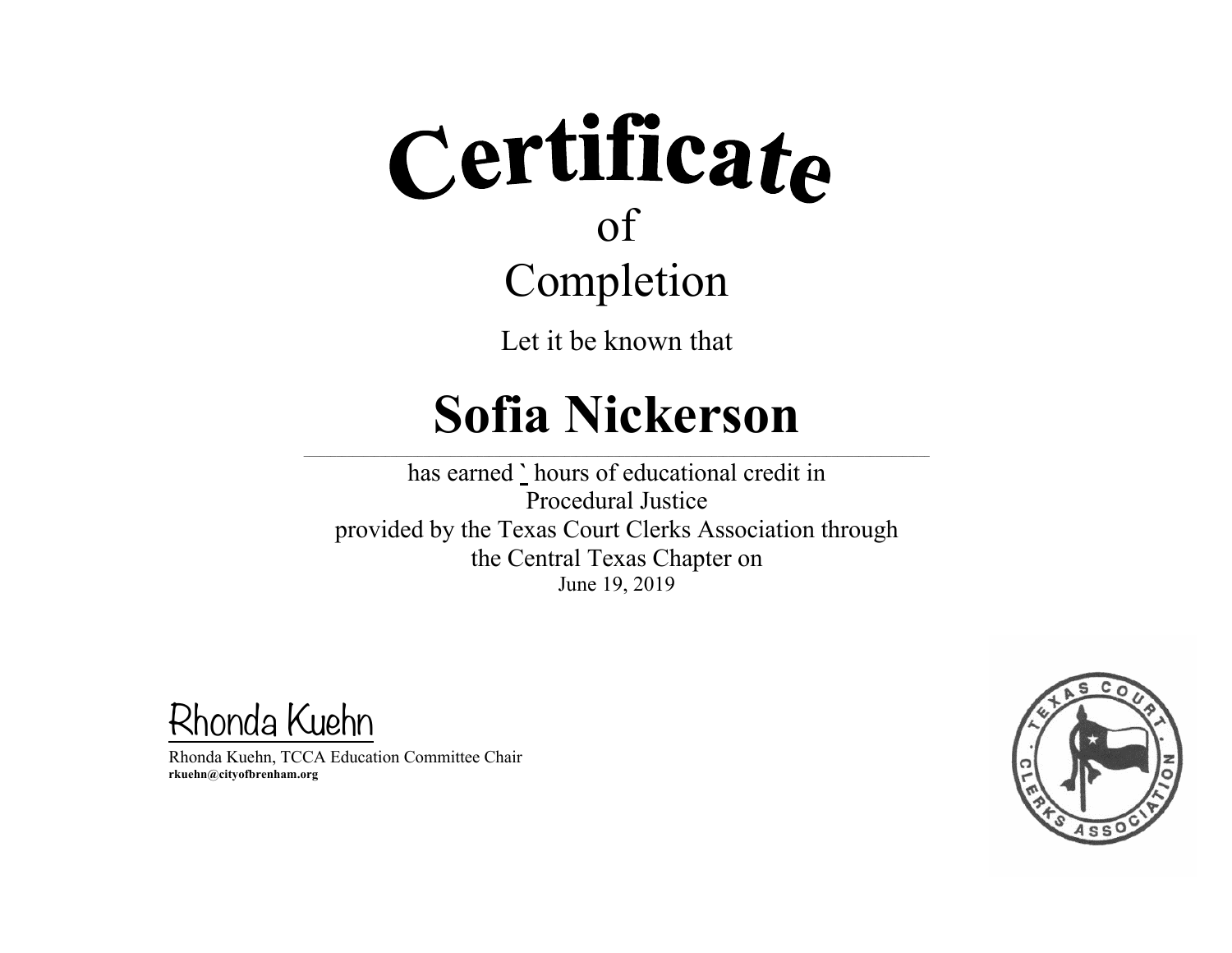Let it be known that

#### **Sofia Nickerson**

 $\mathcal{L} = \{ \mathcal{L} = \{ \mathcal{L} = \{ \mathcal{L} = \{ \mathcal{L} = \{ \mathcal{L} = \{ \mathcal{L} = \{ \mathcal{L} = \{ \mathcal{L} = \{ \mathcal{L} = \{ \mathcal{L} = \{ \mathcal{L} = \{ \mathcal{L} = \{ \mathcal{L} = \{ \mathcal{L} = \{ \mathcal{L} = \{ \mathcal{L} = \{ \mathcal{L} = \{ \mathcal{L} = \{ \mathcal{L} = \{ \mathcal{L} = \{ \mathcal{L} = \{ \mathcal{L} = \{ \mathcal{L} = \{ \mathcal{$ 

has earned **`** hours of educational credit in Procedural Justice provided by the Texas Court Clerks Association through the Central Texas Chapter on June 19, 2019

Rhonda Kuehn

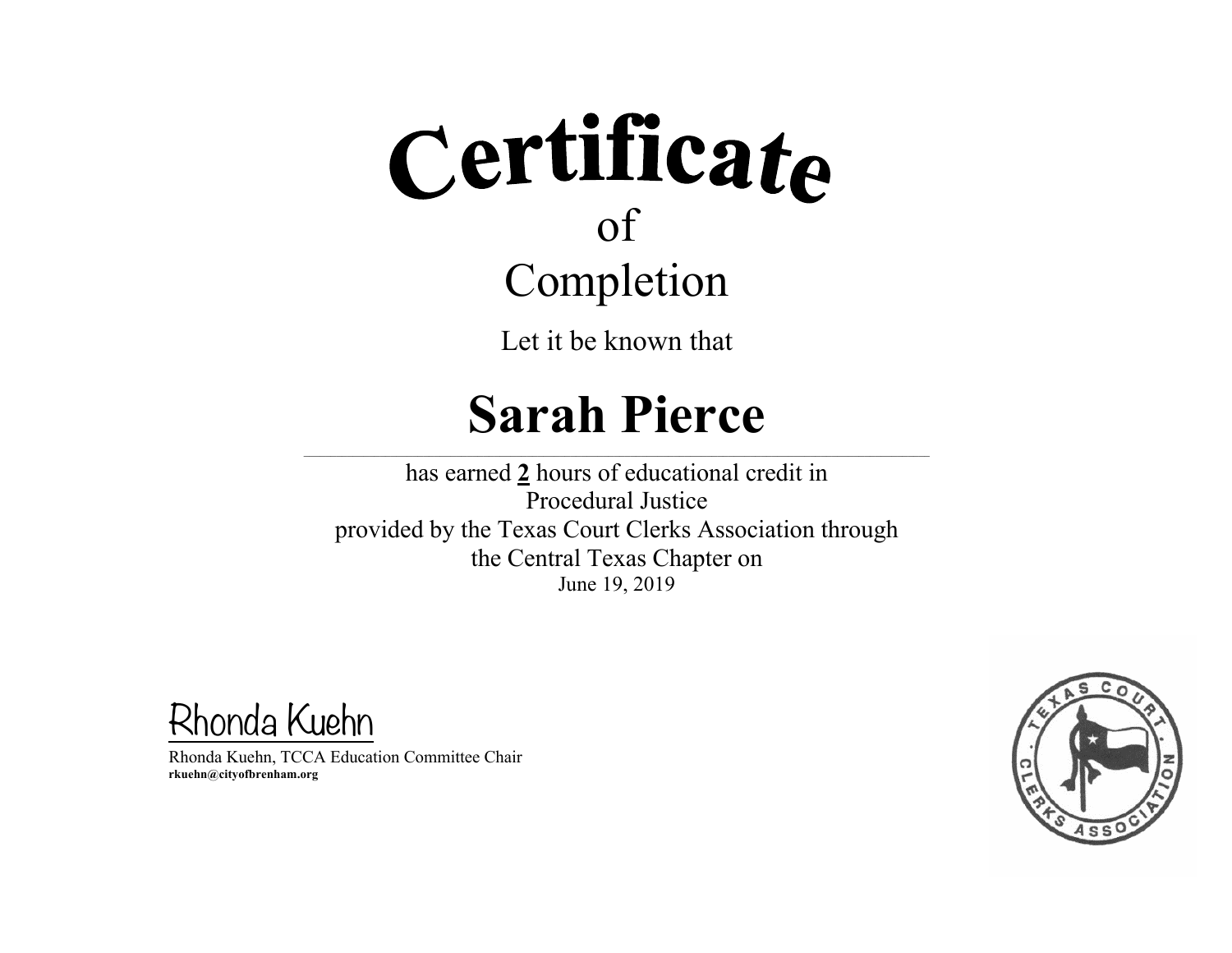Let it be known that

#### **Sarah Pierce**

 $\mathcal{L} = \{ \mathcal{L} = \{ \mathcal{L} = \{ \mathcal{L} = \{ \mathcal{L} = \{ \mathcal{L} = \{ \mathcal{L} = \{ \mathcal{L} = \{ \mathcal{L} = \{ \mathcal{L} = \{ \mathcal{L} = \{ \mathcal{L} = \{ \mathcal{L} = \{ \mathcal{L} = \{ \mathcal{L} = \{ \mathcal{L} = \{ \mathcal{L} = \{ \mathcal{L} = \{ \mathcal{L} = \{ \mathcal{L} = \{ \mathcal{L} = \{ \mathcal{L} = \{ \mathcal{L} = \{ \mathcal{L} = \{ \mathcal{$ 

has earned **2** hours of educational credit in Procedural Justice provided by the Texas Court Clerks Association through the Central Texas Chapter on June 19, 2019

Rhonda Kuehn

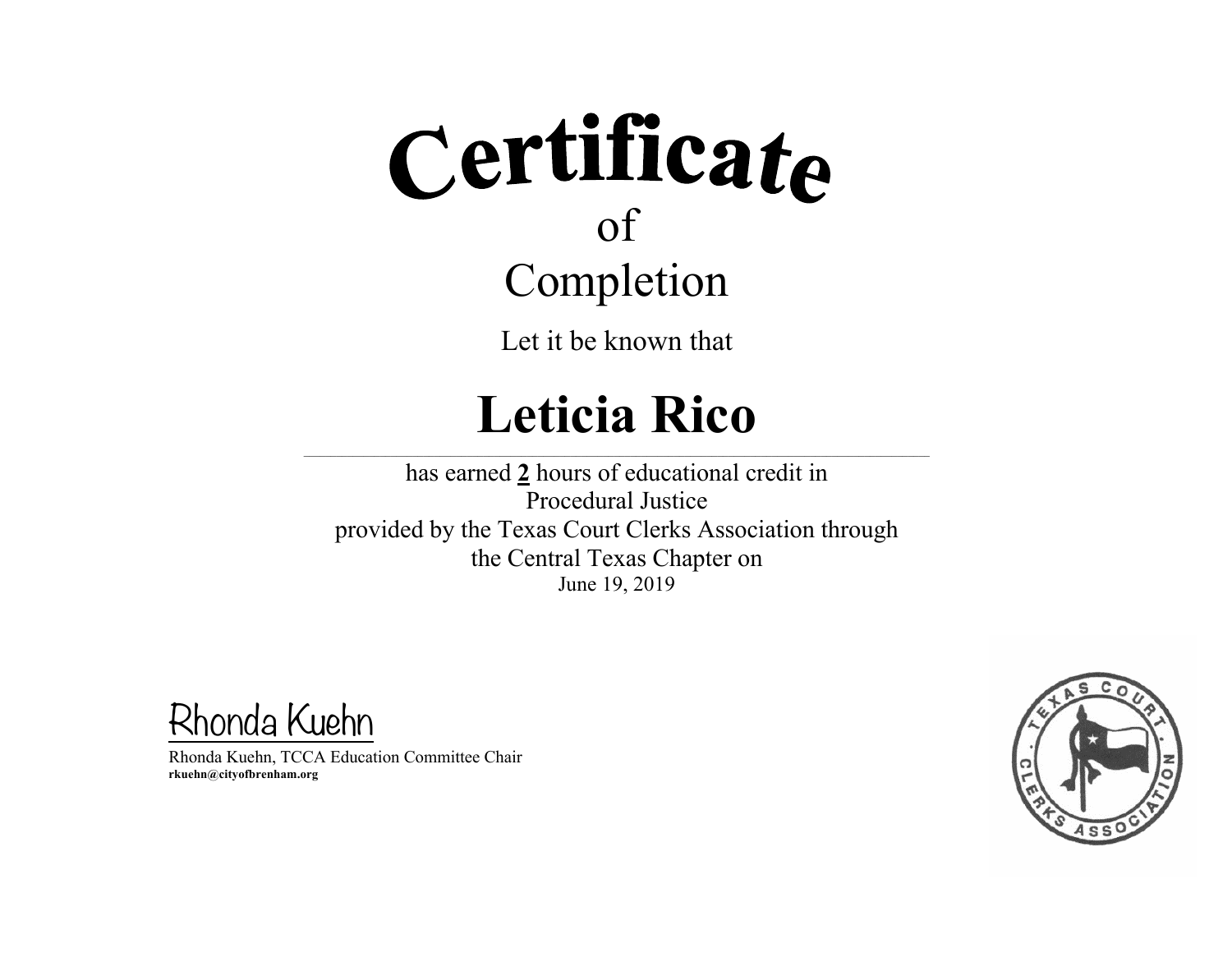Let it be known that

### **Leticia Rico**

 $\mathcal{L} = \{ \mathcal{L} = \{ \mathcal{L} = \{ \mathcal{L} = \{ \mathcal{L} = \{ \mathcal{L} = \{ \mathcal{L} = \{ \mathcal{L} = \{ \mathcal{L} = \{ \mathcal{L} = \{ \mathcal{L} = \{ \mathcal{L} = \{ \mathcal{L} = \{ \mathcal{L} = \{ \mathcal{L} = \{ \mathcal{L} = \{ \mathcal{L} = \{ \mathcal{L} = \{ \mathcal{L} = \{ \mathcal{L} = \{ \mathcal{L} = \{ \mathcal{L} = \{ \mathcal{L} = \{ \mathcal{L} = \{ \mathcal{$ 

has earned **2** hours of educational credit in Procedural Justice provided by the Texas Court Clerks Association through the Central Texas Chapter on June 19, 2019

Rhonda Kuehn

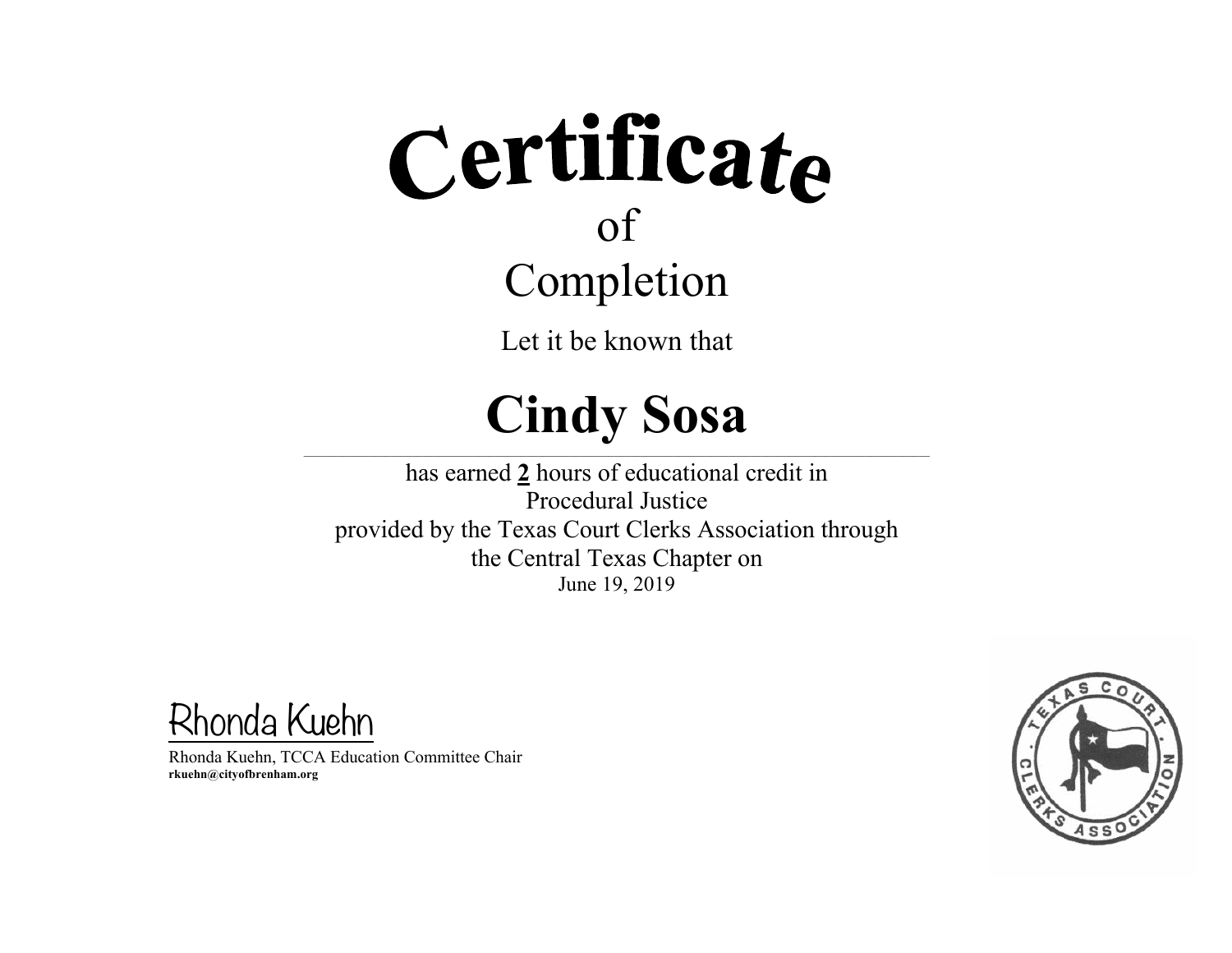Let it be known that

#### **Cindy Sosa**

 $\mathcal{L} = \{ \mathcal{L} = \{ \mathcal{L} = \{ \mathcal{L} = \{ \mathcal{L} = \{ \mathcal{L} = \{ \mathcal{L} = \{ \mathcal{L} = \{ \mathcal{L} = \{ \mathcal{L} = \{ \mathcal{L} = \{ \mathcal{L} = \{ \mathcal{L} = \{ \mathcal{L} = \{ \mathcal{L} = \{ \mathcal{L} = \{ \mathcal{L} = \{ \mathcal{L} = \{ \mathcal{L} = \{ \mathcal{L} = \{ \mathcal{L} = \{ \mathcal{L} = \{ \mathcal{L} = \{ \mathcal{L} = \{ \mathcal{$ 

has earned **2** hours of educational credit in Procedural Justice provided by the Texas Court Clerks Association through the Central Texas Chapter on June 19, 2019

Rhonda Kuehn